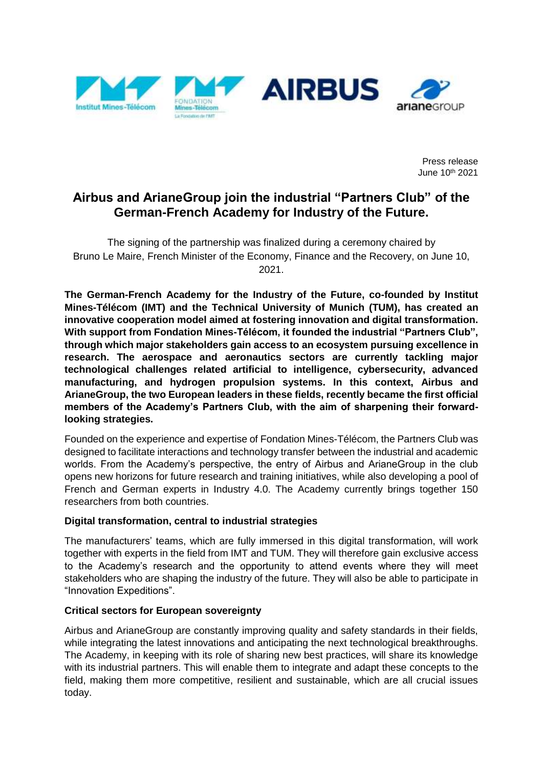

Press release June 10th 2021

# **Airbus and ArianeGroup join the industrial "Partners Club" of the German-French Academy for Industry of the Future.**

The signing of the partnership was finalized during a ceremony chaired by Bruno Le Maire, French Minister of the Economy, Finance and the Recovery, on June 10, 2021.

**The German-French Academy for the Industry of the Future, co-founded by Institut Mines-Télécom (IMT) and the Technical University of Munich (TUM), has created an innovative cooperation model aimed at fostering innovation and digital transformation. With support from Fondation Mines-Télécom, it founded the industrial "Partners Club", through which major stakeholders gain access to an ecosystem pursuing excellence in research. The aerospace and aeronautics sectors are currently tackling major technological challenges related artificial to intelligence, cybersecurity, advanced manufacturing, and hydrogen propulsion systems. In this context, Airbus and ArianeGroup, the two European leaders in these fields, recently became the first official members of the Academy's Partners Club, with the aim of sharpening their forwardlooking strategies.**

Founded on the experience and expertise of Fondation Mines-Télécom, the Partners Club was designed to facilitate interactions and technology transfer between the industrial and academic worlds. From the Academy's perspective, the entry of Airbus and ArianeGroup in the club opens new horizons for future research and training initiatives, while also developing a pool of French and German experts in Industry 4.0. The Academy currently brings together 150 researchers from both countries.

# **Digital transformation, central to industrial strategies**

The manufacturers' teams, which are fully immersed in this digital transformation, will work together with experts in the field from IMT and TUM. They will therefore gain exclusive access to the Academy's research and the opportunity to attend events where they will meet stakeholders who are shaping the industry of the future. They will also be able to participate in "Innovation Expeditions".

# **Critical sectors for European sovereignty**

Airbus and ArianeGroup are constantly improving quality and safety standards in their fields, while integrating the latest innovations and anticipating the next technological breakthroughs. The Academy, in keeping with its role of sharing new best practices, will share its knowledge with its industrial partners. This will enable them to integrate and adapt these concepts to the field, making them more competitive, resilient and sustainable, which are all crucial issues today.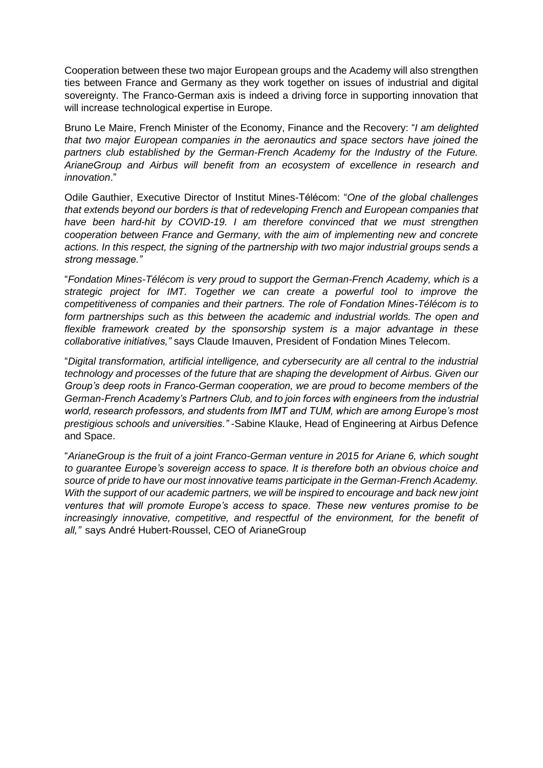Cooperation between these two major European groups and the Academy will also strengthen ties between France and Germany as they work together on issues of industrial and digital sovereignty. The Franco-German axis is indeed a driving force in supporting innovation that will increase technological expertise in Europe.

Bruno Le Maire, French Minister of the Economy, Finance and the Recovery: "*I am delighted that two major European companies in the aeronautics and space sectors have joined the partners club established by the German-French Academy for the Industry of the Future. ArianeGroup and Airbus will benefit from an ecosystem of excellence in research and innovation*."

Odile Gauthier, Executive Director of Institut Mines-Télécom: "*One of the global challenges that extends beyond our borders is that of redeveloping French and European companies that have been hard-hit by COVID-19. I am therefore convinced that we must strengthen cooperation between France and Germany, with the aim of implementing new and concrete actions. In this respect, the signing of the partnership with two major industrial groups sends a strong message."*

"*Fondation Mines-Télécom is very proud to support the German-French Academy, which is a strategic project for IMT. Together we can create a powerful tool to improve the competitiveness of companies and their partners. The role of Fondation Mines-Télécom is to form partnerships such as this between the academic and industrial worlds. The open and flexible framework created by the sponsorship system is a major advantage in these collaborative initiatives,"* says Claude Imauven, President of Fondation Mines Telecom.

"*Digital transformation, artificial intelligence, and cybersecurity are all central to the industrial technology and processes of the future that are shaping the development of Airbus. Given our Group's deep roots in Franco-German cooperation, we are proud to become members of the German-French Academy's Partners Club, and to join forces with engineers from the industrial world, research professors, and students from IMT and TUM, which are among Europe's most prestigious schools and universities."* -Sabine Klauke, Head of Engineering at Airbus Defence and Space.

"*ArianeGroup is the fruit of a joint Franco-German venture in 2015 for Ariane 6, which sought to guarantee Europe's sovereign access to space. It is therefore both an obvious choice and source of pride to have our most innovative teams participate in the German-French Academy. With the support of our academic partners, we will be inspired to encourage and back new joint ventures that will promote Europe's access to space. These new ventures promise to be increasingly innovative, competitive, and respectful of the environment, for the benefit of all,"* says André Hubert-Roussel, CEO of ArianeGroup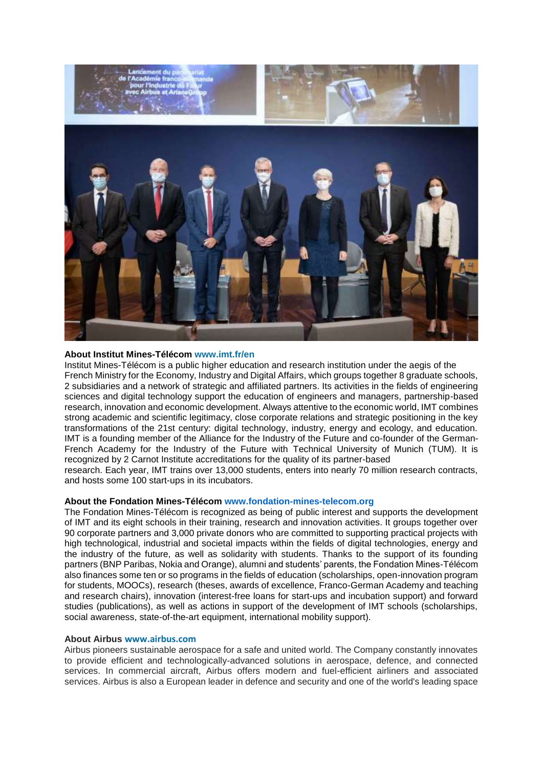

### **About Institut Mines-Télécom www.imt.fr/en**

Institut Mines-Télécom is a public higher education and research institution under the aegis of the French Ministry for the Economy, Industry and Digital Affairs, which groups together 8 graduate schools, 2 subsidiaries and a network of strategic and affiliated partners. Its activities in the fields of engineering sciences and digital technology support the education of engineers and managers, partnership-based research, innovation and economic development. Always attentive to the economic world, IMT combines strong academic and scientific legitimacy, close corporate relations and strategic positioning in the key transformations of the 21st century: digital technology, industry, energy and ecology, and education. IMT is a founding member of the Alliance for the Industry of the Future and co-founder of the German-French Academy for the Industry of the Future with Technical University of Munich (TUM). It is recognized by 2 Carnot Institute accreditations for the quality of its partner-based

research. Each year, IMT trains over 13,000 students, enters into nearly 70 million research contracts, and hosts some 100 start-ups in its incubators.

#### **About the Fondation Mines-Télécom www.fondation-mines-telecom.org**

The Fondation Mines-Télécom is recognized as being of public interest and supports the development of IMT and its eight schools in their training, research and innovation activities. It groups together over 90 corporate partners and 3,000 private donors who are committed to supporting practical projects with high technological, industrial and societal impacts within the fields of digital technologies, energy and the industry of the future, as well as solidarity with students. Thanks to the support of its founding partners (BNP Paribas, Nokia and Orange), alumni and students' parents, the Fondation Mines-Télécom also finances some ten or so programs in the fields of education (scholarships, open-innovation program for students, MOOCs), research (theses, awards of excellence, Franco-German Academy and teaching and research chairs), innovation (interest-free loans for start-ups and incubation support) and forward studies (publications), as well as actions in support of the development of IMT schools (scholarships, social awareness, state-of-the-art equipment, international mobility support).

## **About Airbus www.airbus.com**

Airbus pioneers sustainable aerospace for a safe and united world. The Company constantly innovates to provide efficient and technologically-advanced solutions in aerospace, defence, and connected services. In commercial aircraft, Airbus offers modern and fuel-efficient airliners and associated services. Airbus is also a European leader in defence and security and one of the world's leading space